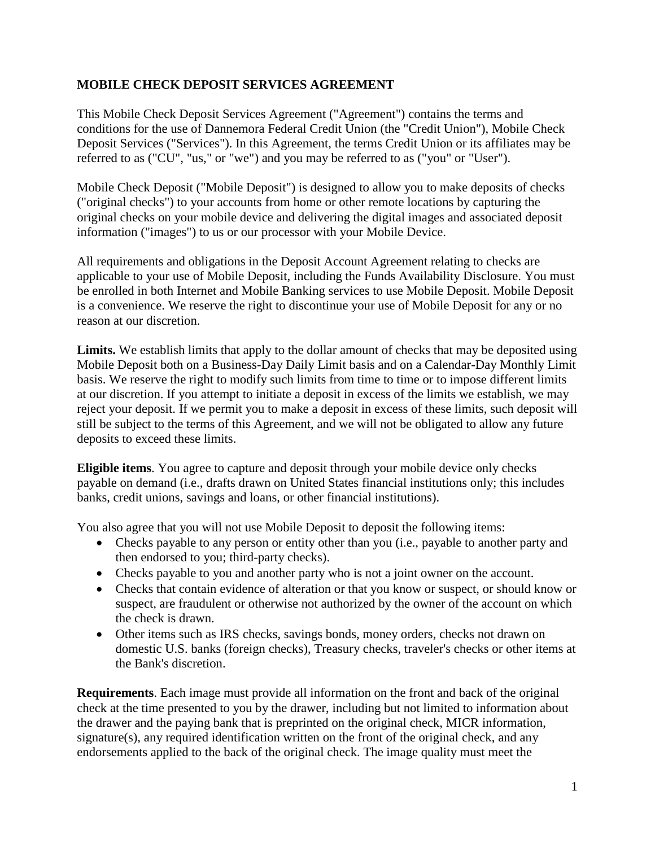## **MOBILE CHECK DEPOSIT SERVICES AGREEMENT**

This Mobile Check Deposit Services Agreement ("Agreement") contains the terms and conditions for the use of Dannemora Federal Credit Union (the "Credit Union"), Mobile Check Deposit Services ("Services"). In this Agreement, the terms Credit Union or its affiliates may be referred to as ("CU", "us," or "we") and you may be referred to as ("you" or "User").

Mobile Check Deposit ("Mobile Deposit") is designed to allow you to make deposits of checks ("original checks") to your accounts from home or other remote locations by capturing the original checks on your mobile device and delivering the digital images and associated deposit information ("images") to us or our processor with your Mobile Device.

All requirements and obligations in the Deposit Account Agreement relating to checks are applicable to your use of Mobile Deposit, including the Funds Availability Disclosure. You must be enrolled in both Internet and Mobile Banking services to use Mobile Deposit. Mobile Deposit is a convenience. We reserve the right to discontinue your use of Mobile Deposit for any or no reason at our discretion.

**Limits.** We establish limits that apply to the dollar amount of checks that may be deposited using Mobile Deposit both on a Business-Day Daily Limit basis and on a Calendar-Day Monthly Limit basis. We reserve the right to modify such limits from time to time or to impose different limits at our discretion. If you attempt to initiate a deposit in excess of the limits we establish, we may reject your deposit. If we permit you to make a deposit in excess of these limits, such deposit will still be subject to the terms of this Agreement, and we will not be obligated to allow any future deposits to exceed these limits.

**Eligible items**. You agree to capture and deposit through your mobile device only checks payable on demand (i.e., drafts drawn on United States financial institutions only; this includes banks, credit unions, savings and loans, or other financial institutions).

You also agree that you will not use Mobile Deposit to deposit the following items:

- Checks payable to any person or entity other than you (i.e., payable to another party and then endorsed to you; third-party checks).
- Checks payable to you and another party who is not a joint owner on the account.
- Checks that contain evidence of alteration or that you know or suspect, or should know or suspect, are fraudulent or otherwise not authorized by the owner of the account on which the check is drawn.
- Other items such as IRS checks, savings bonds, money orders, checks not drawn on domestic U.S. banks (foreign checks), Treasury checks, traveler's checks or other items at the Bank's discretion.

**Requirements**. Each image must provide all information on the front and back of the original check at the time presented to you by the drawer, including but not limited to information about the drawer and the paying bank that is preprinted on the original check, MICR information, signature(s), any required identification written on the front of the original check, and any endorsements applied to the back of the original check. The image quality must meet the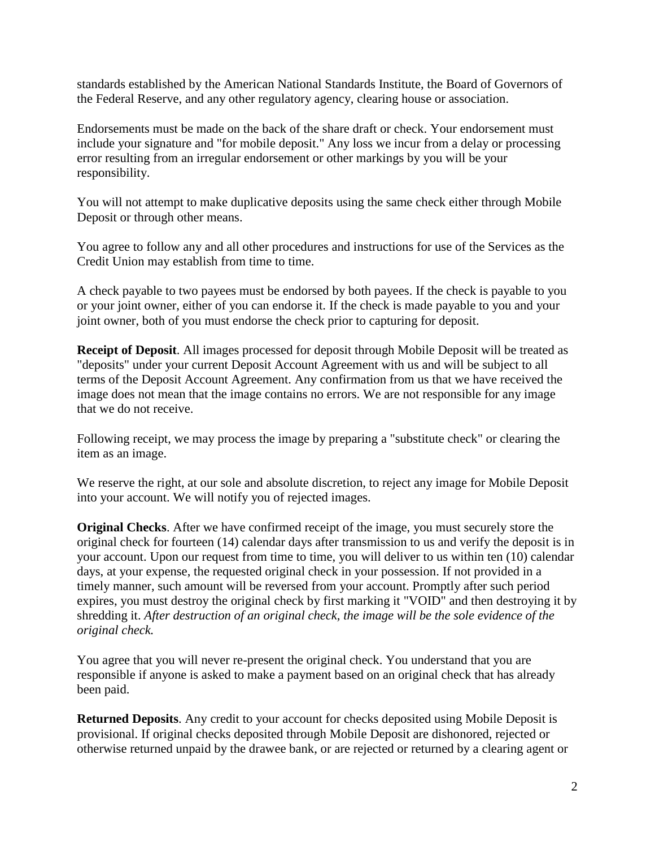standards established by the American National Standards Institute, the Board of Governors of the Federal Reserve, and any other regulatory agency, clearing house or association.

Endorsements must be made on the back of the share draft or check. Your endorsement must include your signature and "for mobile deposit." Any loss we incur from a delay or processing error resulting from an irregular endorsement or other markings by you will be your responsibility.

You will not attempt to make duplicative deposits using the same check either through Mobile Deposit or through other means.

You agree to follow any and all other procedures and instructions for use of the Services as the Credit Union may establish from time to time.

A check payable to two payees must be endorsed by both payees. If the check is payable to you or your joint owner, either of you can endorse it. If the check is made payable to you and your joint owner, both of you must endorse the check prior to capturing for deposit.

**Receipt of Deposit**. All images processed for deposit through Mobile Deposit will be treated as "deposits" under your current Deposit Account Agreement with us and will be subject to all terms of the Deposit Account Agreement. Any confirmation from us that we have received the image does not mean that the image contains no errors. We are not responsible for any image that we do not receive.

Following receipt, we may process the image by preparing a "substitute check" or clearing the item as an image.

We reserve the right, at our sole and absolute discretion, to reject any image for Mobile Deposit into your account. We will notify you of rejected images.

**Original Checks**. After we have confirmed receipt of the image, you must securely store the original check for fourteen (14) calendar days after transmission to us and verify the deposit is in your account. Upon our request from time to time, you will deliver to us within ten (10) calendar days, at your expense, the requested original check in your possession. If not provided in a timely manner, such amount will be reversed from your account. Promptly after such period expires, you must destroy the original check by first marking it "VOID" and then destroying it by shredding it. *After destruction of an original check, the image will be the sole evidence of the original check.*

You agree that you will never re-present the original check. You understand that you are responsible if anyone is asked to make a payment based on an original check that has already been paid.

**Returned Deposits**. Any credit to your account for checks deposited using Mobile Deposit is provisional. If original checks deposited through Mobile Deposit are dishonored, rejected or otherwise returned unpaid by the drawee bank, or are rejected or returned by a clearing agent or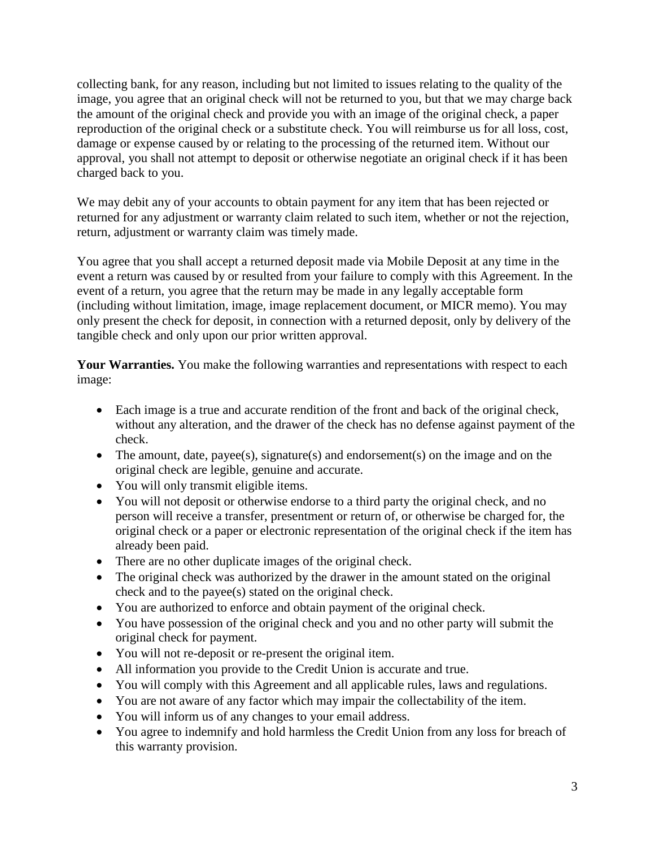collecting bank, for any reason, including but not limited to issues relating to the quality of the image, you agree that an original check will not be returned to you, but that we may charge back the amount of the original check and provide you with an image of the original check, a paper reproduction of the original check or a substitute check. You will reimburse us for all loss, cost, damage or expense caused by or relating to the processing of the returned item. Without our approval, you shall not attempt to deposit or otherwise negotiate an original check if it has been charged back to you.

We may debit any of your accounts to obtain payment for any item that has been rejected or returned for any adjustment or warranty claim related to such item, whether or not the rejection, return, adjustment or warranty claim was timely made.

You agree that you shall accept a returned deposit made via Mobile Deposit at any time in the event a return was caused by or resulted from your failure to comply with this Agreement. In the event of a return, you agree that the return may be made in any legally acceptable form (including without limitation, image, image replacement document, or MICR memo). You may only present the check for deposit, in connection with a returned deposit, only by delivery of the tangible check and only upon our prior written approval.

Your Warranties. You make the following warranties and representations with respect to each image:

- Each image is a true and accurate rendition of the front and back of the original check, without any alteration, and the drawer of the check has no defense against payment of the check.
- The amount, date, payee(s), signature(s) and endorsement(s) on the image and on the original check are legible, genuine and accurate.
- You will only transmit eligible items.
- You will not deposit or otherwise endorse to a third party the original check, and no person will receive a transfer, presentment or return of, or otherwise be charged for, the original check or a paper or electronic representation of the original check if the item has already been paid.
- There are no other duplicate images of the original check.
- The original check was authorized by the drawer in the amount stated on the original check and to the payee(s) stated on the original check.
- You are authorized to enforce and obtain payment of the original check.
- You have possession of the original check and you and no other party will submit the original check for payment.
- You will not re-deposit or re-present the original item.
- All information you provide to the Credit Union is accurate and true.
- You will comply with this Agreement and all applicable rules, laws and regulations.
- You are not aware of any factor which may impair the collectability of the item.
- You will inform us of any changes to your email address.
- You agree to indemnify and hold harmless the Credit Union from any loss for breach of this warranty provision.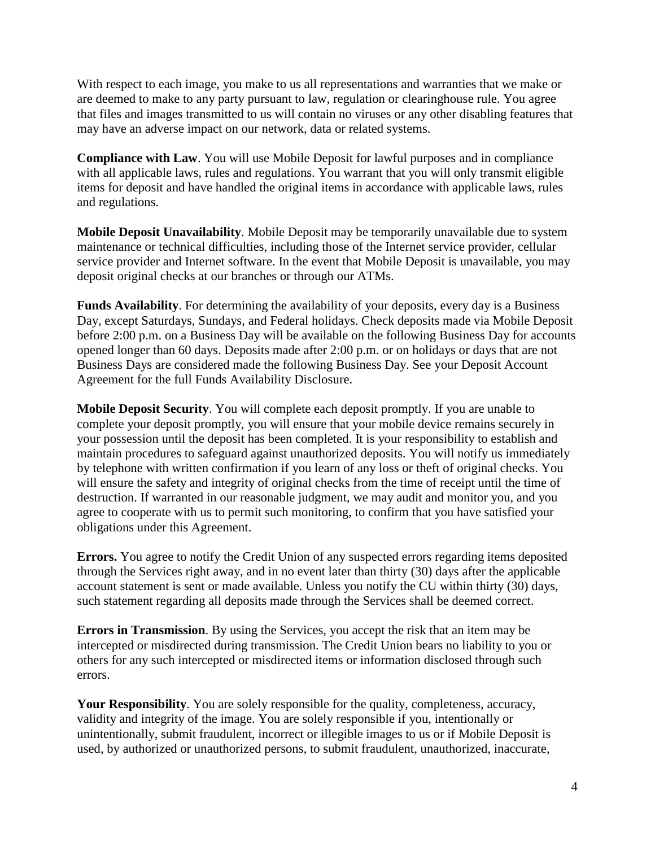With respect to each image, you make to us all representations and warranties that we make or are deemed to make to any party pursuant to law, regulation or clearinghouse rule. You agree that files and images transmitted to us will contain no viruses or any other disabling features that may have an adverse impact on our network, data or related systems.

**Compliance with Law**. You will use Mobile Deposit for lawful purposes and in compliance with all applicable laws, rules and regulations. You warrant that you will only transmit eligible items for deposit and have handled the original items in accordance with applicable laws, rules and regulations.

**Mobile Deposit Unavailability**. Mobile Deposit may be temporarily unavailable due to system maintenance or technical difficulties, including those of the Internet service provider, cellular service provider and Internet software. In the event that Mobile Deposit is unavailable, you may deposit original checks at our branches or through our ATMs.

**Funds Availability**. For determining the availability of your deposits, every day is a Business Day, except Saturdays, Sundays, and Federal holidays. Check deposits made via Mobile Deposit before 2:00 p.m. on a Business Day will be available on the following Business Day for accounts opened longer than 60 days. Deposits made after 2:00 p.m. or on holidays or days that are not Business Days are considered made the following Business Day. See your Deposit Account Agreement for the full Funds Availability Disclosure.

**Mobile Deposit Security**. You will complete each deposit promptly. If you are unable to complete your deposit promptly, you will ensure that your mobile device remains securely in your possession until the deposit has been completed. It is your responsibility to establish and maintain procedures to safeguard against unauthorized deposits. You will notify us immediately by telephone with written confirmation if you learn of any loss or theft of original checks. You will ensure the safety and integrity of original checks from the time of receipt until the time of destruction. If warranted in our reasonable judgment, we may audit and monitor you, and you agree to cooperate with us to permit such monitoring, to confirm that you have satisfied your obligations under this Agreement.

**Errors.** You agree to notify the Credit Union of any suspected errors regarding items deposited through the Services right away, and in no event later than thirty (30) days after the applicable account statement is sent or made available. Unless you notify the CU within thirty (30) days, such statement regarding all deposits made through the Services shall be deemed correct.

**Errors in Transmission**. By using the Services, you accept the risk that an item may be intercepted or misdirected during transmission. The Credit Union bears no liability to you or others for any such intercepted or misdirected items or information disclosed through such errors.

**Your Responsibility**. You are solely responsible for the quality, completeness, accuracy, validity and integrity of the image. You are solely responsible if you, intentionally or unintentionally, submit fraudulent, incorrect or illegible images to us or if Mobile Deposit is used, by authorized or unauthorized persons, to submit fraudulent, unauthorized, inaccurate,